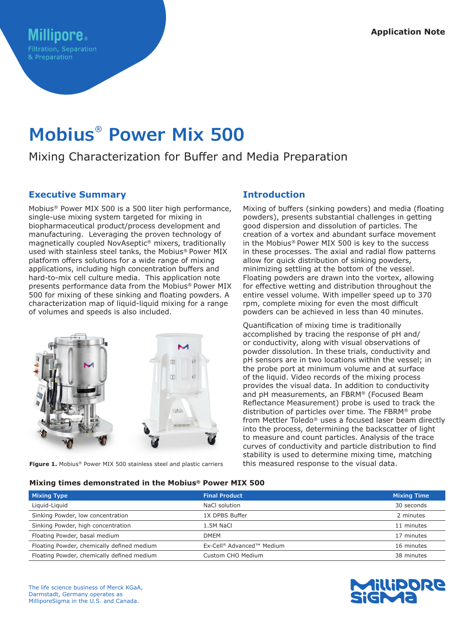# **Mobius® Power Mix 500**

## Mixing Characterization for Buffer and Media Preparation

## **Executive Summary**

Mobius® Power MIX 500 is a 500 liter high performance, single-use mixing system targeted for mixing in biopharmaceutical product/process development and manufacturing. Leveraging the proven technology of magnetically coupled NovAseptic® mixers, traditionally used with stainless steel tanks, the Mobius® Power MIX platform offers solutions for a wide range of mixing applications, including high concentration buffers and hard-to-mix cell culture media. This application note presents performance data from the Mobius® Power MIX 500 for mixing of these sinking and floating powders. A characterization map of liquid-liquid mixing for a range of volumes and speeds is also included.



**Figure 1.** Mobius® Power MIX 500 stainless steel and plastic carriers

## **Introduction**

Mixing of buffers (sinking powders) and media (floating powders), presents substantial challenges in getting good dispersion and dissolution of particles. The creation of a vortex and abundant surface movement in the Mobius® Power MIX 500 is key to the success in these processes. The axial and radial flow patterns allow for quick distribution of sinking powders, minimizing settling at the bottom of the vessel. Floating powders are drawn into the vortex, allowing for effective wetting and distribution throughout the entire vessel volume. With impeller speed up to 370 rpm, complete mixing for even the most difficult powders can be achieved in less than 40 minutes.

Quantification of mixing time is traditionally accomplished by tracing the response of pH and/ or conductivity, along with visual observations of powder dissolution. In these trials, conductivity and pH sensors are in two locations within the vessel; in the probe port at minimum volume and at surface of the liquid. Video records of the mixing process provides the visual data. In addition to conductivity and pH measurements, an FBRM® (Focused Beam Reflectance Measurement) probe is used to track the distribution of particles over time. The FBRM® probe from Mettler Toledo® uses a focused laser beam directly into the process, determining the backscatter of light to measure and count particles. Analysis of the trace curves of conductivity and particle distribution to find stability is used to determine mixing time, matching this measured response to the visual data.

#### **Mixing times demonstrated in the Mobius® Power MIX 500**

| <b>Mixing Type</b>                         | <b>Final Product</b>                  | <b>Mixing Time</b> |
|--------------------------------------------|---------------------------------------|--------------------|
| Liquid-Liquid                              | NaCl solution                         | 30 seconds         |
| Sinking Powder, low concentration          | 1X DPBS Buffer                        | 2 minutes          |
| Sinking Powder, high concentration         | 1.5M NaCl                             | 11 minutes         |
| Floating Powder, basal medium              | <b>DMEM</b>                           | 17 minutes         |
| Floating Powder, chemically defined medium | Ex-Cell <sup>®</sup> Advanced™ Medium | 16 minutes         |
| Floating Powder, chemically defined medium | Custom CHO Medium                     | 38 minutes         |

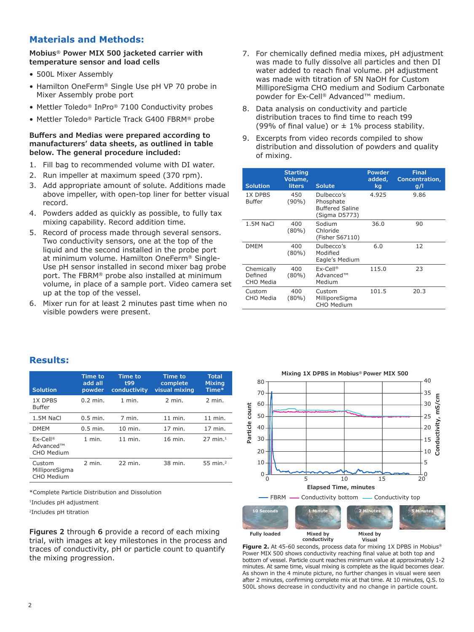## **Materials and Methods:**

**Mobius® Power MIX 500 jacketed carrier with temperature sensor and load cells**

- 500L Mixer Assembly
- Hamilton OneFerm® Single Use pH VP 70 probe in Mixer Assembly probe port
- Mettler Toledo® InPro® 7100 Conductivity probes
- Mettler Toledo® Particle Track G400 FBRM® probe

#### **Buffers and Medias were prepared according to manufacturers' data sheets, as outlined in table below. The general procedure included:**

- 1. Fill bag to recommended volume with DI water.
- 2. Run impeller at maximum speed (370 rpm).
- 3. Add appropriate amount of solute. Additions made above impeller, with open-top liner for better visual record.
- 4. Powders added as quickly as possible, to fully tax mixing capability. Record addition time.
- 5. Record of process made through several sensors. Two conductivity sensors, one at the top of the liquid and the second installed in the probe port at minimum volume. Hamilton OneFerm® Single-Use pH sensor installed in second mixer bag probe port. The FBRM® probe also installed at minimum volume, in place of a sample port. Video camera set up at the top of the vessel.
- 6. Mixer run for at least 2 minutes past time when no visible powders were present.
- 7. For chemically defined media mixes, pH adjustment was made to fully dissolve all particles and then DI water added to reach final volume. pH adjustment was made with titration of 5N NaOH for Custom MilliporeSigma CHO medium and Sodium Carbonate powder for Ex-Cell® Advanced™ medium.
- 8. Data analysis on conductivity and particle distribution traces to find time to reach t99 (99% of final value) or  $\pm$  1% process stability.
- 9. Excerpts from video records compiled to show distribution and dissolution of powders and quality of mixing.

| <b>Solution</b>                    | <b>Starting</b><br>Volume,<br><b>liters</b> | <b>Solute</b>                                                      | Powder<br>added,<br>kq | <b>Final</b><br>Concentration,<br><u>g/l</u> |
|------------------------------------|---------------------------------------------|--------------------------------------------------------------------|------------------------|----------------------------------------------|
| 1X DPBS<br>Buffer                  | 450<br>$(90\%)$                             | Dulbecco's<br>Phosphate<br><b>Buffered Saline</b><br>(Sigma D5773) | 4.925                  | 9.86                                         |
| 1.5M NaCl                          | 400<br>$(80\%)$                             | Sodium<br>Chloride<br>(Fisher S67110)                              | 36.0                   | 90                                           |
| <b>DMEM</b>                        | 400<br>$(80\%)$                             | Dulbecco's<br>Modified<br>Eagle's Medium                           | 6.0                    | 12                                           |
| Chemically<br>Defined<br>CHO Media | 400<br>$(80\%)$                             | $Ex-Cell@$<br>Advanced™<br>Medium                                  | 115.0                  | 23                                           |
| Custom<br>CHO Media                | 400<br>$(80\%)$                             | Custom<br>MilliporeSigma<br><b>CHO Medium</b>                      | 101.5                  | 20.3                                         |

## **Results:**

| <b>Solution</b>                        | <b>Time to</b><br>add all<br>powder | <b>Time to</b><br>t99<br>conductivity | <b>Time to</b><br>complete<br>visual mixing | <b>Total</b><br><b>Mixing</b><br>Time* |
|----------------------------------------|-------------------------------------|---------------------------------------|---------------------------------------------|----------------------------------------|
| 1X DPBS<br><b>Buffer</b>               | $0.2$ min.                          | $1$ min.                              | $2$ min.                                    | 2 min.                                 |
| 1.5M NaCl                              | $0.5$ min.                          | 7 min.                                | $11$ min.                                   | $11$ min.                              |
| <b>DMEM</b>                            | $0.5$ min.                          | $10$ min.                             | 17 min.                                     | 17 min.                                |
| $Ex-Cell@$<br>Advanced™<br>CHO Medium  | $1$ min.                            | 11 min.                               | 16 min.                                     | $27$ min. <sup>1</sup>                 |
| Custom<br>MilliporeSigma<br>CHO Medium | $2$ min.                            | 22 min.                               | 38 min.                                     | 55 min. <sup>2</sup>                   |

\*Complete Particle Distribution and Dissolution

1Includes pH adjustment

2Includes pH titration

**Figures 2** through **6** provide a record of each mixing trial, with images at key milestones in the process and traces of conductivity, pH or particle count to quantify the mixing progression.



**Figure 2.** At 45-60 seconds, process data for mixing 1X DPBS in Mobius® Power MIX 500 shows conductivity reaching final value at both top and bottom of vessel. Particle count reaches minimum value at approximately 1-2 minutes. At same time, visual mixing is complete as the liquid becomes clear. As shown in the 4 minute picture, no further changes in visual were seen after 2 minutes, confirming complete mix at that time. At 10 minutes, Q.S. to 500L shows decrease in conductivity and no change in particle count.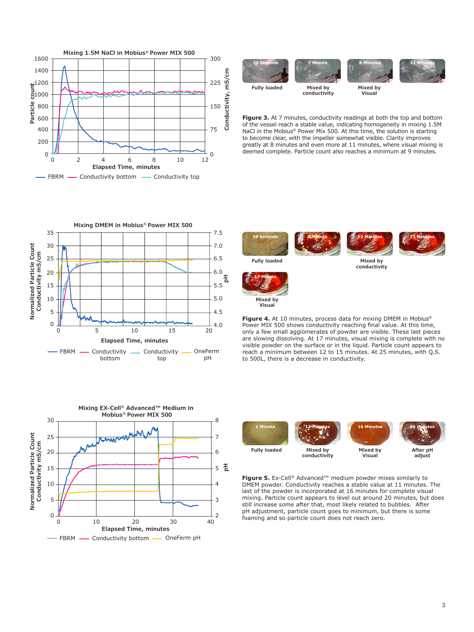



**Figure 3.** At 7 minutes, conductivity readings at both the top and bottom of the vessel reach a stable value, indicating homogeneity in mixing 1.5M NaCl in the Mobius® Power Mix 500. At this time, the solution is starting to become clear, with the impeller somewhat visible. Clarity improves greatly at 8 minutes and even more at 11 minutes, where visual mixing is deemed complete. Particle count also reaches a minimum at 9 minutes.









**conductivity**



**Fully loaded Mixed by** 



**Visual**

**Figure 4.** At 10 minutes, process data for mixing DMEM in Mobius® Power MIX 500 shows conductivity reaching final value. At this time, only a few small agglomerates of powder are visible. These last pieces are slowing dissolving. At 17 minutes, visual mixing is complete with no visible powder on the surface or in the liquid. Particle count appears to reach a minimum between 12 to 15 minutes. At 25 minutes, with Q.S. to 500L, there is a decrease in conductivity.



**Figure 5.** Ex-Cell® Advanced™ medium powder mixes similarly to DMEM powder. Conductivity reaches a stable value at 11 minutes. The last of the powder is incorporated at 16 minutes for complete visual mixing. Particle count appears to level out around 20 minutes, but does still increase some after that, most likely related to bubbles. After pH adjustment, particle count goes to minimum, but there is some foaming and so particle count does not reach zero.